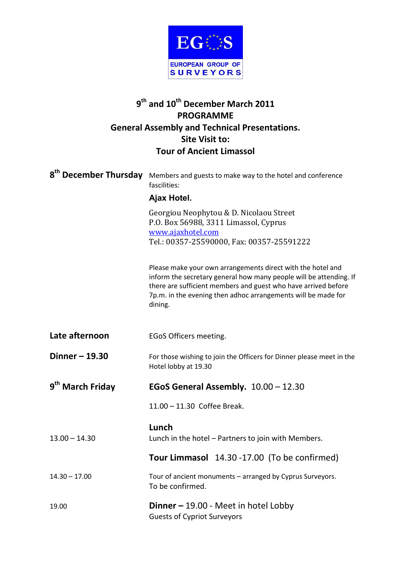

## **9 th and 10th December March 2011 PROGRAMME General Assembly and Technical Presentations. Site Visit to: Tour of Ancient Limassol**

|                              | 8 <sup>th</sup> December Thursday Members and guests to make way to the hotel and conference<br>fascilities:<br>Ajax Hotel.                                                                                                                                                     |
|------------------------------|---------------------------------------------------------------------------------------------------------------------------------------------------------------------------------------------------------------------------------------------------------------------------------|
|                              | Georgiou Neophytou & D. Nicolaou Street<br>P.O. Box 56988, 3311 Limassol, Cyprus<br>www.ajaxhotel.com<br>Tel.: 00357-25590000, Fax: 00357-25591222                                                                                                                              |
|                              | Please make your own arrangements direct with the hotel and<br>inform the secretary general how many people will be attending. If<br>there are sufficient members and guest who have arrived before<br>7p.m. in the evening then adhoc arrangements will be made for<br>dining. |
| Late afternoon               | EGoS Officers meeting.                                                                                                                                                                                                                                                          |
| Dinner - 19.30               | For those wishing to join the Officers for Dinner please meet in the<br>Hotel lobby at 19.30                                                                                                                                                                                    |
| 9 <sup>th</sup> March Friday | EGoS General Assembly. 10.00 - 12.30                                                                                                                                                                                                                                            |
|                              | 11.00 - 11.30 Coffee Break.                                                                                                                                                                                                                                                     |
| $13.00 - 14.30$              | Lunch<br>Lunch in the hotel - Partners to join with Members.                                                                                                                                                                                                                    |
|                              | Tour Limmasol 14.30 -17.00 (To be confirmed)                                                                                                                                                                                                                                    |
| $14.30 - 17.00$              | Tour of ancient monuments - arranged by Cyprus Surveyors.<br>To be confirmed.                                                                                                                                                                                                   |
| 19.00                        | <b>Dinner - 19.00 - Meet in hotel Lobby</b><br><b>Guests of Cypriot Surveyors</b>                                                                                                                                                                                               |